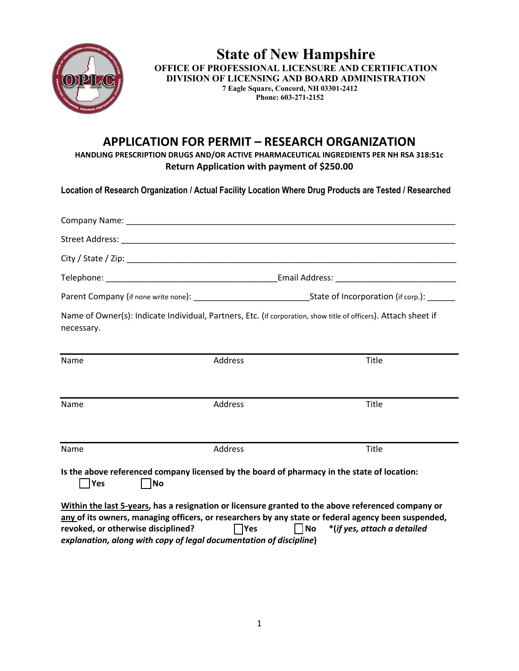

**State of New Hampshire OFFICE OF PROFESSIONAL LICENSURE AND CERTIFICATION DIVISION OF LICENSING AND BOARD ADMINISTRATION 7 Eagle Square, Concord, NH 03301-2412 Phone: 603-271-2152**

# **APPLICATION FOR PERMIT – RESEARCH ORGANIZATION**

**HANDLING PRESCRIPTION DRUGS AND/OR ACTIVE PHARMACEUTICAL INGREDIENTS PER NH RSA 318:51c Return Application with payment of \$250.00**

**Location of Research Organization / Actual Facility Location Where Drug Products are Tested / Researched**

|                                       |         | Parent Company (if none write none): __________________________________State of Incorporation (if corp.): ______                                                                               |  |  |  |  |
|---------------------------------------|---------|------------------------------------------------------------------------------------------------------------------------------------------------------------------------------------------------|--|--|--|--|
| necessary.                            |         | Name of Owner(s): Indicate Individual, Partners, Etc. (if corporation, show title of officers). Attach sheet if                                                                                |  |  |  |  |
| Name                                  | Address | Title                                                                                                                                                                                          |  |  |  |  |
| Name                                  | Address | Title                                                                                                                                                                                          |  |  |  |  |
| Name                                  | Address | Title                                                                                                                                                                                          |  |  |  |  |
| $\overline{\phantom{a}}$ Yes<br>   No |         | Is the above referenced company licensed by the board of pharmacy in the state of location:<br>Within the leat Europe, has a resignation or lisensure quanted to the above referenced seminary |  |  |  |  |

**Within the last 5-years, has a resignation or licensure granted to the above referenced company or any of its owners, managing officers, or researchers by any state or federal agency been suspended, revoked, or otherwise disciplined? No \*(***if yes, attach a detailed*  $\blacksquare$  **No** \*(*if yes, attach a detailed explanation, along with copy of legal documentation of discipline***)**